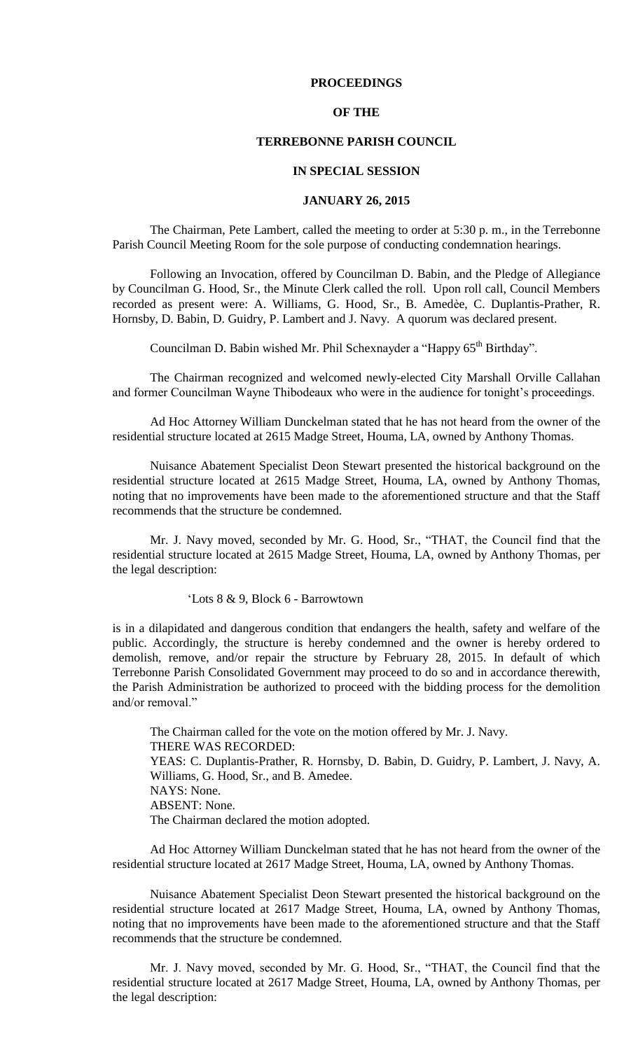## **PROCEEDINGS**

### **OF THE**

# **TERREBONNE PARISH COUNCIL**

### **IN SPECIAL SESSION**

## **JANUARY 26, 2015**

The Chairman, Pete Lambert, called the meeting to order at 5:30 p. m., in the Terrebonne Parish Council Meeting Room for the sole purpose of conducting condemnation hearings.

Following an Invocation, offered by Councilman D. Babin, and the Pledge of Allegiance by Councilman G. Hood, Sr., the Minute Clerk called the roll. Upon roll call, Council Members recorded as present were: A. Williams, G. Hood, Sr., B. Amedѐe, C. Duplantis-Prather, R. Hornsby, D. Babin, D. Guidry, P. Lambert and J. Navy. A quorum was declared present.

Councilman D. Babin wished Mr. Phil Schexnayder a "Happy 65<sup>th</sup> Birthday".

The Chairman recognized and welcomed newly-elected City Marshall Orville Callahan and former Councilman Wayne Thibodeaux who were in the audience for tonight's proceedings.

Ad Hoc Attorney William Dunckelman stated that he has not heard from the owner of the residential structure located at 2615 Madge Street, Houma, LA, owned by Anthony Thomas.

Nuisance Abatement Specialist Deon Stewart presented the historical background on the residential structure located at 2615 Madge Street, Houma, LA, owned by Anthony Thomas, noting that no improvements have been made to the aforementioned structure and that the Staff recommends that the structure be condemned.

Mr. J. Navy moved, seconded by Mr. G. Hood, Sr., "THAT, the Council find that the residential structure located at 2615 Madge Street, Houma, LA, owned by Anthony Thomas, per the legal description:

'Lots 8 & 9, Block 6 - Barrowtown

is in a dilapidated and dangerous condition that endangers the health, safety and welfare of the public. Accordingly, the structure is hereby condemned and the owner is hereby ordered to demolish, remove, and/or repair the structure by February 28, 2015. In default of which Terrebonne Parish Consolidated Government may proceed to do so and in accordance therewith, the Parish Administration be authorized to proceed with the bidding process for the demolition and/or removal."

The Chairman called for the vote on the motion offered by Mr. J. Navy. THERE WAS RECORDED: YEAS: C. Duplantis-Prather, R. Hornsby, D. Babin, D. Guidry, P. Lambert, J. Navy, A. Williams, G. Hood, Sr., and B. Amedee. NAYS: None. ABSENT: None. The Chairman declared the motion adopted.

Ad Hoc Attorney William Dunckelman stated that he has not heard from the owner of the residential structure located at 2617 Madge Street, Houma, LA, owned by Anthony Thomas.

Nuisance Abatement Specialist Deon Stewart presented the historical background on the residential structure located at 2617 Madge Street, Houma, LA, owned by Anthony Thomas, noting that no improvements have been made to the aforementioned structure and that the Staff recommends that the structure be condemned.

Mr. J. Navy moved, seconded by Mr. G. Hood, Sr., "THAT, the Council find that the residential structure located at 2617 Madge Street, Houma, LA, owned by Anthony Thomas, per the legal description: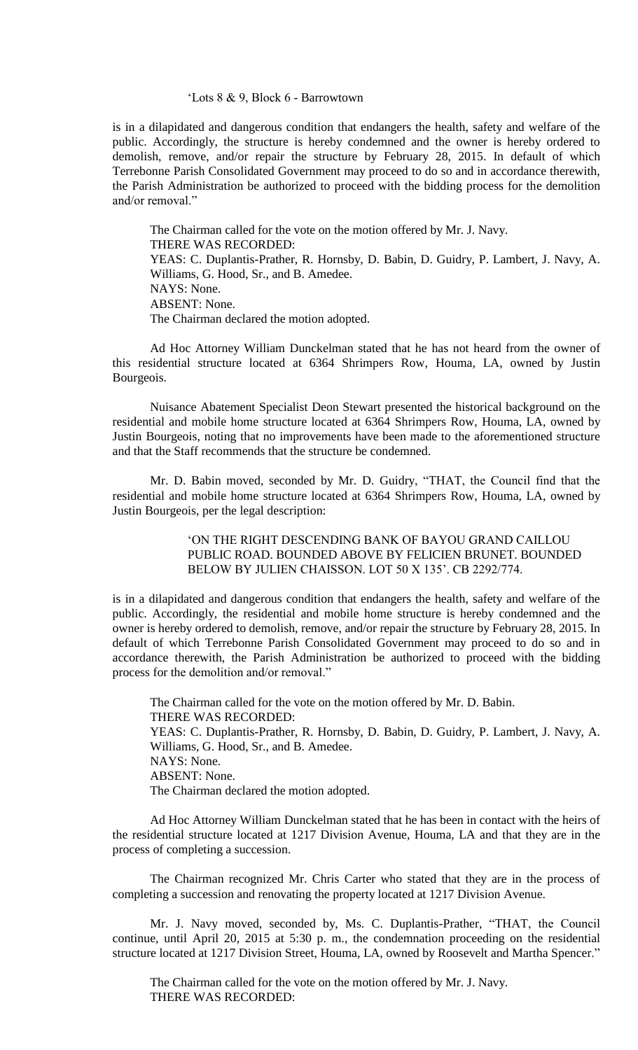#### 'Lots 8 & 9, Block 6 - Barrowtown

is in a dilapidated and dangerous condition that endangers the health, safety and welfare of the public. Accordingly, the structure is hereby condemned and the owner is hereby ordered to demolish, remove, and/or repair the structure by February 28, 2015. In default of which Terrebonne Parish Consolidated Government may proceed to do so and in accordance therewith, the Parish Administration be authorized to proceed with the bidding process for the demolition and/or removal."

The Chairman called for the vote on the motion offered by Mr. J. Navy. THERE WAS RECORDED: YEAS: C. Duplantis-Prather, R. Hornsby, D. Babin, D. Guidry, P. Lambert, J. Navy, A. Williams, G. Hood, Sr., and B. Amedee. NAYS: None. ABSENT: None. The Chairman declared the motion adopted.

Ad Hoc Attorney William Dunckelman stated that he has not heard from the owner of this residential structure located at 6364 Shrimpers Row, Houma, LA, owned by Justin Bourgeois.

Nuisance Abatement Specialist Deon Stewart presented the historical background on the residential and mobile home structure located at 6364 Shrimpers Row, Houma, LA, owned by Justin Bourgeois, noting that no improvements have been made to the aforementioned structure and that the Staff recommends that the structure be condemned.

Mr. D. Babin moved, seconded by Mr. D. Guidry, "THAT, the Council find that the residential and mobile home structure located at 6364 Shrimpers Row, Houma, LA, owned by Justin Bourgeois, per the legal description:

> 'ON THE RIGHT DESCENDING BANK OF BAYOU GRAND CAILLOU PUBLIC ROAD. BOUNDED ABOVE BY FELICIEN BRUNET. BOUNDED BELOW BY JULIEN CHAISSON. LOT 50 X 135'. CB 2292/774.

is in a dilapidated and dangerous condition that endangers the health, safety and welfare of the public. Accordingly, the residential and mobile home structure is hereby condemned and the owner is hereby ordered to demolish, remove, and/or repair the structure by February 28, 2015. In default of which Terrebonne Parish Consolidated Government may proceed to do so and in accordance therewith, the Parish Administration be authorized to proceed with the bidding process for the demolition and/or removal."

The Chairman called for the vote on the motion offered by Mr. D. Babin. THERE WAS RECORDED: YEAS: C. Duplantis-Prather, R. Hornsby, D. Babin, D. Guidry, P. Lambert, J. Navy, A. Williams, G. Hood, Sr., and B. Amedee. NAYS: None. ABSENT: None. The Chairman declared the motion adopted.

Ad Hoc Attorney William Dunckelman stated that he has been in contact with the heirs of the residential structure located at 1217 Division Avenue, Houma, LA and that they are in the process of completing a succession.

The Chairman recognized Mr. Chris Carter who stated that they are in the process of completing a succession and renovating the property located at 1217 Division Avenue.

Mr. J. Navy moved, seconded by, Ms. C. Duplantis-Prather, "THAT, the Council continue, until April 20, 2015 at 5:30 p. m., the condemnation proceeding on the residential structure located at 1217 Division Street, Houma, LA, owned by Roosevelt and Martha Spencer."

The Chairman called for the vote on the motion offered by Mr. J. Navy. THERE WAS RECORDED: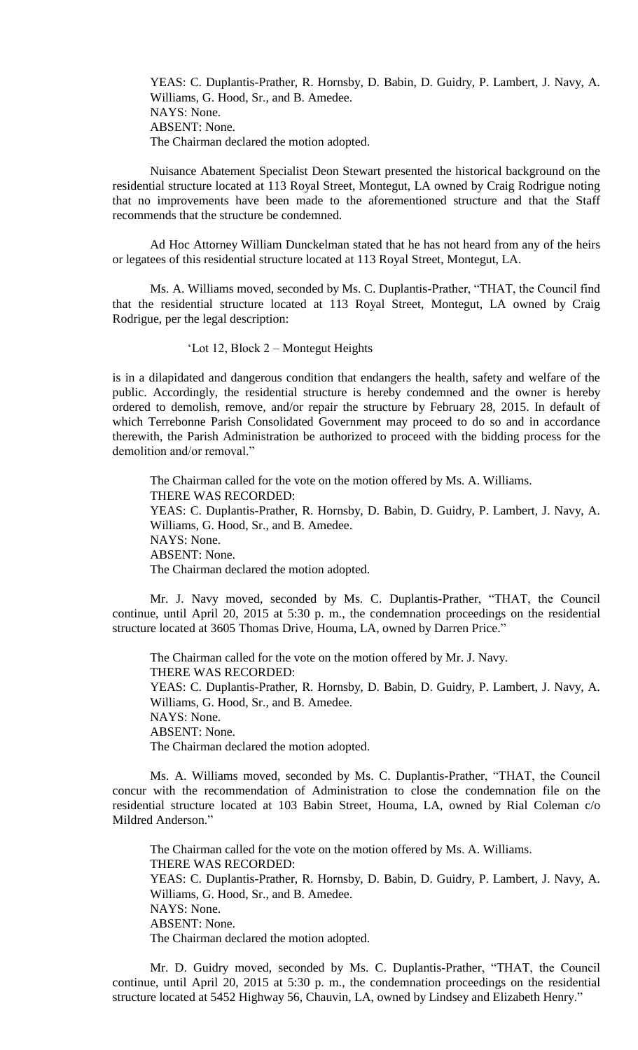YEAS: C. Duplantis-Prather, R. Hornsby, D. Babin, D. Guidry, P. Lambert, J. Navy, A. Williams, G. Hood, Sr., and B. Amedee. NAYS: None. ABSENT: None. The Chairman declared the motion adopted.

Nuisance Abatement Specialist Deon Stewart presented the historical background on the residential structure located at 113 Royal Street, Montegut, LA owned by Craig Rodrigue noting that no improvements have been made to the aforementioned structure and that the Staff recommends that the structure be condemned.

Ad Hoc Attorney William Dunckelman stated that he has not heard from any of the heirs or legatees of this residential structure located at 113 Royal Street, Montegut, LA.

Ms. A. Williams moved, seconded by Ms. C. Duplantis-Prather, "THAT, the Council find that the residential structure located at 113 Royal Street, Montegut, LA owned by Craig Rodrigue, per the legal description:

'Lot 12, Block 2 – Montegut Heights

is in a dilapidated and dangerous condition that endangers the health, safety and welfare of the public. Accordingly, the residential structure is hereby condemned and the owner is hereby ordered to demolish, remove, and/or repair the structure by February 28, 2015. In default of which Terrebonne Parish Consolidated Government may proceed to do so and in accordance therewith, the Parish Administration be authorized to proceed with the bidding process for the demolition and/or removal."

The Chairman called for the vote on the motion offered by Ms. A. Williams. THERE WAS RECORDED: YEAS: C. Duplantis-Prather, R. Hornsby, D. Babin, D. Guidry, P. Lambert, J. Navy, A. Williams, G. Hood, Sr., and B. Amedee. NAYS: None. ABSENT: None. The Chairman declared the motion adopted.

Mr. J. Navy moved, seconded by Ms. C. Duplantis-Prather, "THAT, the Council continue, until April 20, 2015 at 5:30 p. m., the condemnation proceedings on the residential structure located at 3605 Thomas Drive, Houma, LA, owned by Darren Price."

The Chairman called for the vote on the motion offered by Mr. J. Navy. THERE WAS RECORDED: YEAS: C. Duplantis-Prather, R. Hornsby, D. Babin, D. Guidry, P. Lambert, J. Navy, A. Williams, G. Hood, Sr., and B. Amedee. NAYS: None. ABSENT: None. The Chairman declared the motion adopted.

Ms. A. Williams moved, seconded by Ms. C. Duplantis-Prather, "THAT, the Council concur with the recommendation of Administration to close the condemnation file on the residential structure located at 103 Babin Street, Houma, LA, owned by Rial Coleman c/o Mildred Anderson."

The Chairman called for the vote on the motion offered by Ms. A. Williams. THERE WAS RECORDED: YEAS: C. Duplantis-Prather, R. Hornsby, D. Babin, D. Guidry, P. Lambert, J. Navy, A. Williams, G. Hood, Sr., and B. Amedee. NAYS: None. ABSENT: None. The Chairman declared the motion adopted.

Mr. D. Guidry moved, seconded by Ms. C. Duplantis-Prather, "THAT, the Council continue, until April 20, 2015 at 5:30 p. m., the condemnation proceedings on the residential structure located at 5452 Highway 56, Chauvin, LA, owned by Lindsey and Elizabeth Henry."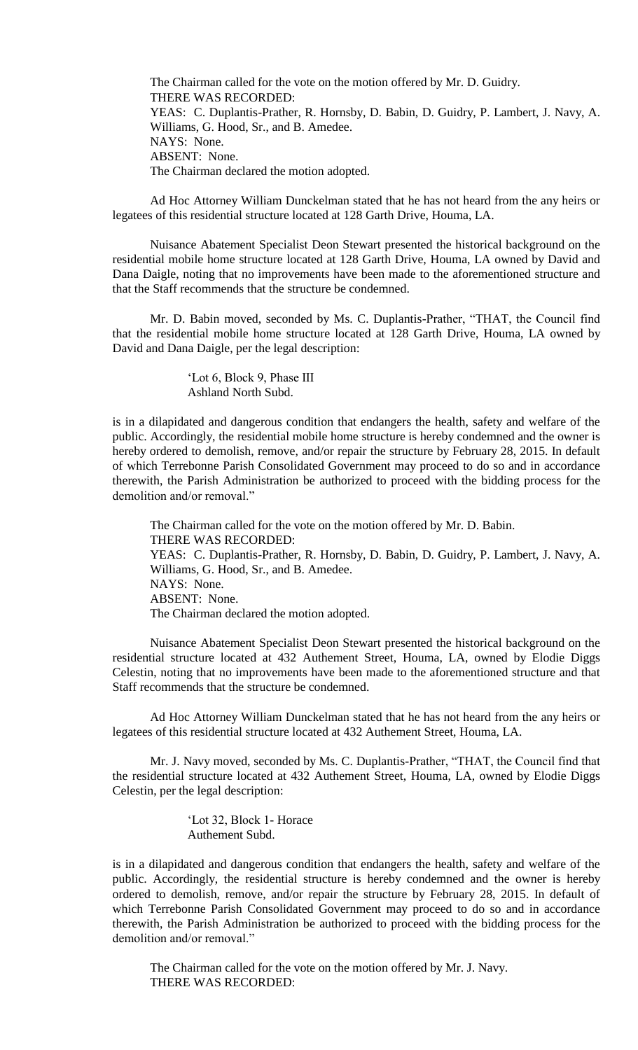The Chairman called for the vote on the motion offered by Mr. D. Guidry. THERE WAS RECORDED: YEAS: C. Duplantis-Prather, R. Hornsby, D. Babin, D. Guidry, P. Lambert, J. Navy, A. Williams, G. Hood, Sr., and B. Amedee. NAYS: None. ABSENT: None. The Chairman declared the motion adopted.

Ad Hoc Attorney William Dunckelman stated that he has not heard from the any heirs or legatees of this residential structure located at 128 Garth Drive, Houma, LA.

Nuisance Abatement Specialist Deon Stewart presented the historical background on the residential mobile home structure located at 128 Garth Drive, Houma, LA owned by David and Dana Daigle, noting that no improvements have been made to the aforementioned structure and that the Staff recommends that the structure be condemned.

Mr. D. Babin moved, seconded by Ms. C. Duplantis-Prather, "THAT, the Council find that the residential mobile home structure located at 128 Garth Drive, Houma, LA owned by David and Dana Daigle, per the legal description:

> 'Lot 6, Block 9, Phase III Ashland North Subd.

is in a dilapidated and dangerous condition that endangers the health, safety and welfare of the public. Accordingly, the residential mobile home structure is hereby condemned and the owner is hereby ordered to demolish, remove, and/or repair the structure by February 28, 2015. In default of which Terrebonne Parish Consolidated Government may proceed to do so and in accordance therewith, the Parish Administration be authorized to proceed with the bidding process for the demolition and/or removal."

The Chairman called for the vote on the motion offered by Mr. D. Babin. THERE WAS RECORDED: YEAS: C. Duplantis-Prather, R. Hornsby, D. Babin, D. Guidry, P. Lambert, J. Navy, A. Williams, G. Hood, Sr., and B. Amedee. NAYS: None. ABSENT: None. The Chairman declared the motion adopted.

Nuisance Abatement Specialist Deon Stewart presented the historical background on the residential structure located at 432 Authement Street, Houma, LA, owned by Elodie Diggs Celestin, noting that no improvements have been made to the aforementioned structure and that Staff recommends that the structure be condemned.

Ad Hoc Attorney William Dunckelman stated that he has not heard from the any heirs or legatees of this residential structure located at 432 Authement Street, Houma, LA.

Mr. J. Navy moved, seconded by Ms. C. Duplantis-Prather, "THAT, the Council find that the residential structure located at 432 Authement Street, Houma, LA, owned by Elodie Diggs Celestin, per the legal description:

> 'Lot 32, Block 1- Horace Authement Subd.

is in a dilapidated and dangerous condition that endangers the health, safety and welfare of the public. Accordingly, the residential structure is hereby condemned and the owner is hereby ordered to demolish, remove, and/or repair the structure by February 28, 2015. In default of which Terrebonne Parish Consolidated Government may proceed to do so and in accordance therewith, the Parish Administration be authorized to proceed with the bidding process for the demolition and/or removal."

The Chairman called for the vote on the motion offered by Mr. J. Navy. THERE WAS RECORDED: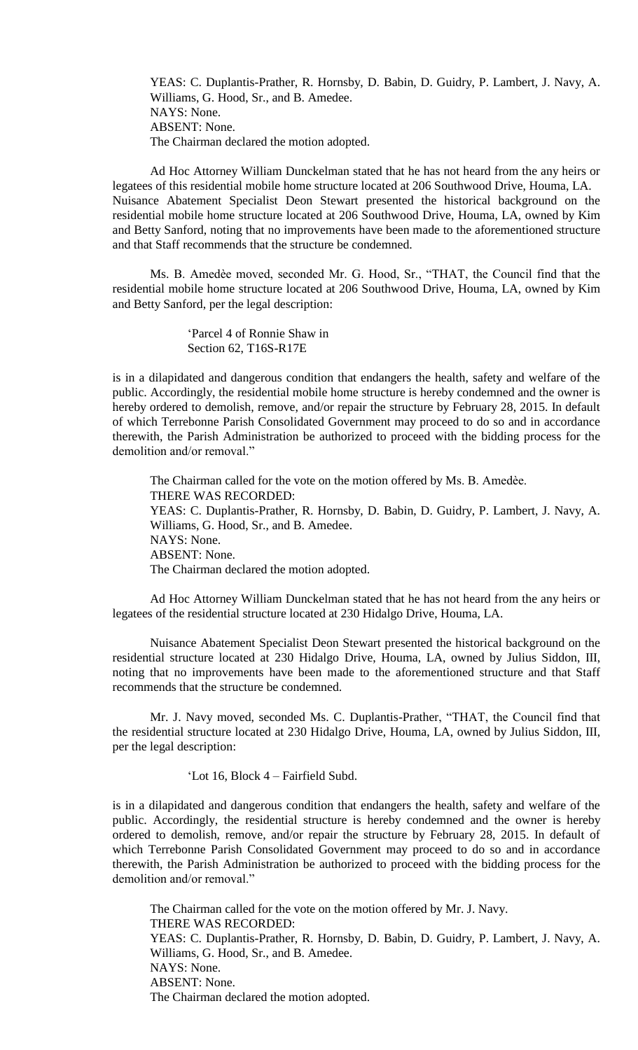YEAS: C. Duplantis-Prather, R. Hornsby, D. Babin, D. Guidry, P. Lambert, J. Navy, A. Williams, G. Hood, Sr., and B. Amedee. NAYS: None. ABSENT: None. The Chairman declared the motion adopted.

Ad Hoc Attorney William Dunckelman stated that he has not heard from the any heirs or legatees of this residential mobile home structure located at 206 Southwood Drive, Houma, LA. Nuisance Abatement Specialist Deon Stewart presented the historical background on the residential mobile home structure located at 206 Southwood Drive, Houma, LA, owned by Kim and Betty Sanford, noting that no improvements have been made to the aforementioned structure and that Staff recommends that the structure be condemned.

Ms. B. Amedѐe moved, seconded Mr. G. Hood, Sr., "THAT, the Council find that the residential mobile home structure located at 206 Southwood Drive, Houma, LA, owned by Kim and Betty Sanford, per the legal description:

> 'Parcel 4 of Ronnie Shaw in Section 62, T16S-R17E

is in a dilapidated and dangerous condition that endangers the health, safety and welfare of the public. Accordingly, the residential mobile home structure is hereby condemned and the owner is hereby ordered to demolish, remove, and/or repair the structure by February 28, 2015. In default of which Terrebonne Parish Consolidated Government may proceed to do so and in accordance therewith, the Parish Administration be authorized to proceed with the bidding process for the demolition and/or removal."

The Chairman called for the vote on the motion offered by Ms. B. Amedèe. THERE WAS RECORDED: YEAS: C. Duplantis-Prather, R. Hornsby, D. Babin, D. Guidry, P. Lambert, J. Navy, A. Williams, G. Hood, Sr., and B. Amedee. NAYS: None. ABSENT: None. The Chairman declared the motion adopted.

Ad Hoc Attorney William Dunckelman stated that he has not heard from the any heirs or legatees of the residential structure located at 230 Hidalgo Drive, Houma, LA.

Nuisance Abatement Specialist Deon Stewart presented the historical background on the residential structure located at 230 Hidalgo Drive, Houma, LA, owned by Julius Siddon, III, noting that no improvements have been made to the aforementioned structure and that Staff recommends that the structure be condemned.

Mr. J. Navy moved, seconded Ms. C. Duplantis-Prather, "THAT, the Council find that the residential structure located at 230 Hidalgo Drive, Houma, LA, owned by Julius Siddon, III, per the legal description:

'Lot 16, Block 4 – Fairfield Subd.

is in a dilapidated and dangerous condition that endangers the health, safety and welfare of the public. Accordingly, the residential structure is hereby condemned and the owner is hereby ordered to demolish, remove, and/or repair the structure by February 28, 2015. In default of which Terrebonne Parish Consolidated Government may proceed to do so and in accordance therewith, the Parish Administration be authorized to proceed with the bidding process for the demolition and/or removal."

The Chairman called for the vote on the motion offered by Mr. J. Navy. THERE WAS RECORDED: YEAS: C. Duplantis-Prather, R. Hornsby, D. Babin, D. Guidry, P. Lambert, J. Navy, A. Williams, G. Hood, Sr., and B. Amedee. NAYS: None. ABSENT: None. The Chairman declared the motion adopted.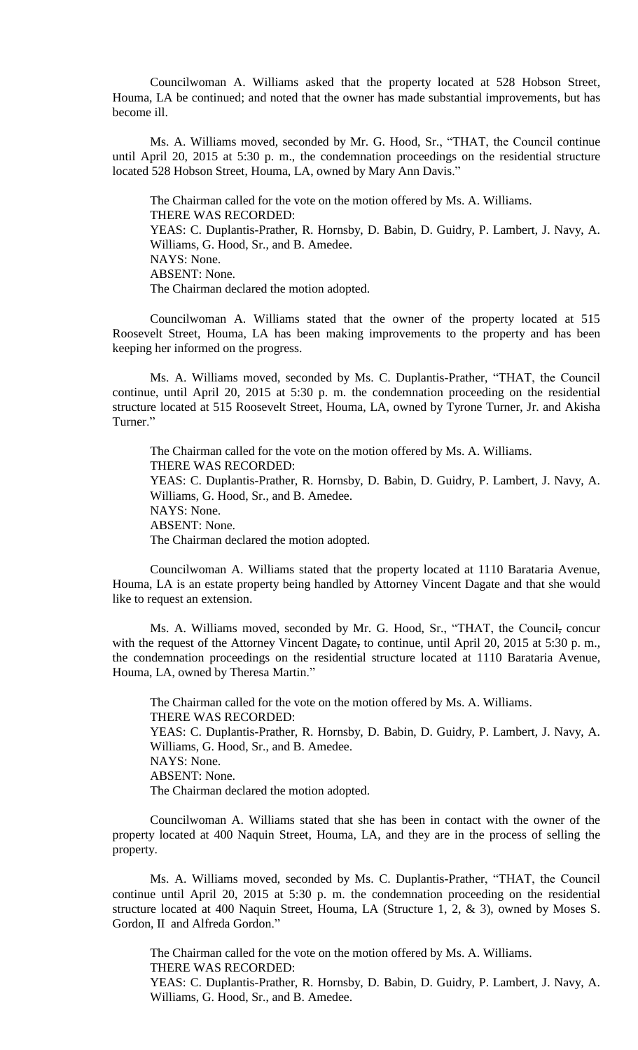Councilwoman A. Williams asked that the property located at 528 Hobson Street, Houma, LA be continued; and noted that the owner has made substantial improvements, but has become ill.

Ms. A. Williams moved, seconded by Mr. G. Hood, Sr., "THAT, the Council continue until April 20, 2015 at 5:30 p. m., the condemnation proceedings on the residential structure located 528 Hobson Street, Houma, LA, owned by Mary Ann Davis."

The Chairman called for the vote on the motion offered by Ms. A. Williams. THERE WAS RECORDED: YEAS: C. Duplantis-Prather, R. Hornsby, D. Babin, D. Guidry, P. Lambert, J. Navy, A. Williams, G. Hood, Sr., and B. Amedee. NAYS: None. ABSENT: None. The Chairman declared the motion adopted.

Councilwoman A. Williams stated that the owner of the property located at 515 Roosevelt Street, Houma, LA has been making improvements to the property and has been keeping her informed on the progress.

Ms. A. Williams moved, seconded by Ms. C. Duplantis-Prather, "THAT, the Council continue, until April 20, 2015 at 5:30 p. m. the condemnation proceeding on the residential structure located at 515 Roosevelt Street, Houma, LA, owned by Tyrone Turner, Jr. and Akisha Turner."

The Chairman called for the vote on the motion offered by Ms. A. Williams. THERE WAS RECORDED: YEAS: C. Duplantis-Prather, R. Hornsby, D. Babin, D. Guidry, P. Lambert, J. Navy, A. Williams, G. Hood, Sr., and B. Amedee. NAYS: None. ABSENT: None. The Chairman declared the motion adopted.

Councilwoman A. Williams stated that the property located at 1110 Barataria Avenue, Houma, LA is an estate property being handled by Attorney Vincent Dagate and that she would like to request an extension.

Ms. A. Williams moved, seconded by Mr. G. Hood, Sr., "THAT, the Council, concur with the request of the Attorney Vincent Dagate, to continue, until April 20, 2015 at 5:30 p.m., the condemnation proceedings on the residential structure located at 1110 Barataria Avenue, Houma, LA, owned by Theresa Martin."

The Chairman called for the vote on the motion offered by Ms. A. Williams. THERE WAS RECORDED: YEAS: C. Duplantis-Prather, R. Hornsby, D. Babin, D. Guidry, P. Lambert, J. Navy, A. Williams, G. Hood, Sr., and B. Amedee. NAYS: None. ABSENT: None. The Chairman declared the motion adopted.

Councilwoman A. Williams stated that she has been in contact with the owner of the property located at 400 Naquin Street, Houma, LA, and they are in the process of selling the property.

Ms. A. Williams moved, seconded by Ms. C. Duplantis-Prather, "THAT, the Council continue until April 20, 2015 at 5:30 p. m. the condemnation proceeding on the residential structure located at 400 Naquin Street, Houma, LA (Structure 1, 2, & 3), owned by Moses S. Gordon, II and Alfreda Gordon."

The Chairman called for the vote on the motion offered by Ms. A. Williams. THERE WAS RECORDED: YEAS: C. Duplantis-Prather, R. Hornsby, D. Babin, D. Guidry, P. Lambert, J. Navy, A. Williams, G. Hood, Sr., and B. Amedee.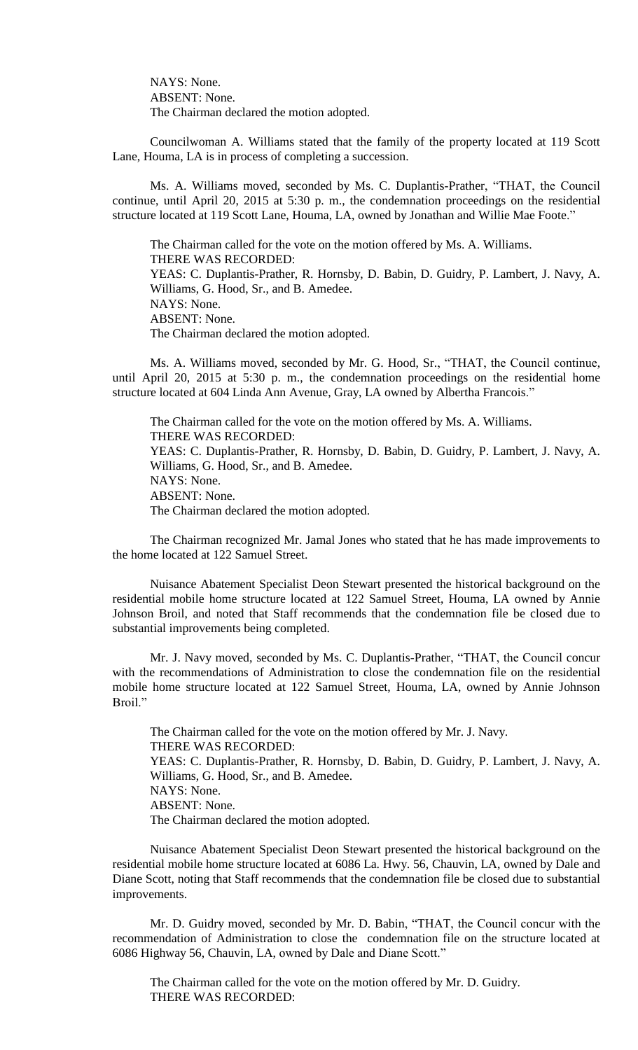NAYS: None. ABSENT: None. The Chairman declared the motion adopted.

Councilwoman A. Williams stated that the family of the property located at 119 Scott Lane, Houma, LA is in process of completing a succession.

Ms. A. Williams moved, seconded by Ms. C. Duplantis-Prather, "THAT, the Council continue, until April 20, 2015 at 5:30 p. m., the condemnation proceedings on the residential structure located at 119 Scott Lane, Houma, LA, owned by Jonathan and Willie Mae Foote."

The Chairman called for the vote on the motion offered by Ms. A. Williams. THERE WAS RECORDED: YEAS: C. Duplantis-Prather, R. Hornsby, D. Babin, D. Guidry, P. Lambert, J. Navy, A. Williams, G. Hood, Sr., and B. Amedee. NAYS: None. ABSENT: None. The Chairman declared the motion adopted.

Ms. A. Williams moved, seconded by Mr. G. Hood, Sr., "THAT, the Council continue, until April 20, 2015 at 5:30 p. m., the condemnation proceedings on the residential home structure located at 604 Linda Ann Avenue, Gray, LA owned by Albertha Francois."

The Chairman called for the vote on the motion offered by Ms. A. Williams. THERE WAS RECORDED: YEAS: C. Duplantis-Prather, R. Hornsby, D. Babin, D. Guidry, P. Lambert, J. Navy, A. Williams, G. Hood, Sr., and B. Amedee. NAYS: None. ABSENT: None. The Chairman declared the motion adopted.

The Chairman recognized Mr. Jamal Jones who stated that he has made improvements to the home located at 122 Samuel Street.

Nuisance Abatement Specialist Deon Stewart presented the historical background on the residential mobile home structure located at 122 Samuel Street, Houma, LA owned by Annie Johnson Broil, and noted that Staff recommends that the condemnation file be closed due to substantial improvements being completed.

Mr. J. Navy moved, seconded by Ms. C. Duplantis-Prather, "THAT, the Council concur with the recommendations of Administration to close the condemnation file on the residential mobile home structure located at 122 Samuel Street, Houma, LA, owned by Annie Johnson Broil<sup>"</sup>

The Chairman called for the vote on the motion offered by Mr. J. Navy. THERE WAS RECORDED: YEAS: C. Duplantis-Prather, R. Hornsby, D. Babin, D. Guidry, P. Lambert, J. Navy, A. Williams, G. Hood, Sr., and B. Amedee. NAYS: None. ABSENT: None. The Chairman declared the motion adopted.

Nuisance Abatement Specialist Deon Stewart presented the historical background on the residential mobile home structure located at 6086 La. Hwy. 56, Chauvin, LA, owned by Dale and Diane Scott, noting that Staff recommends that the condemnation file be closed due to substantial improvements.

Mr. D. Guidry moved, seconded by Mr. D. Babin, "THAT, the Council concur with the recommendation of Administration to close the condemnation file on the structure located at 6086 Highway 56, Chauvin, LA, owned by Dale and Diane Scott."

The Chairman called for the vote on the motion offered by Mr. D. Guidry. THERE WAS RECORDED: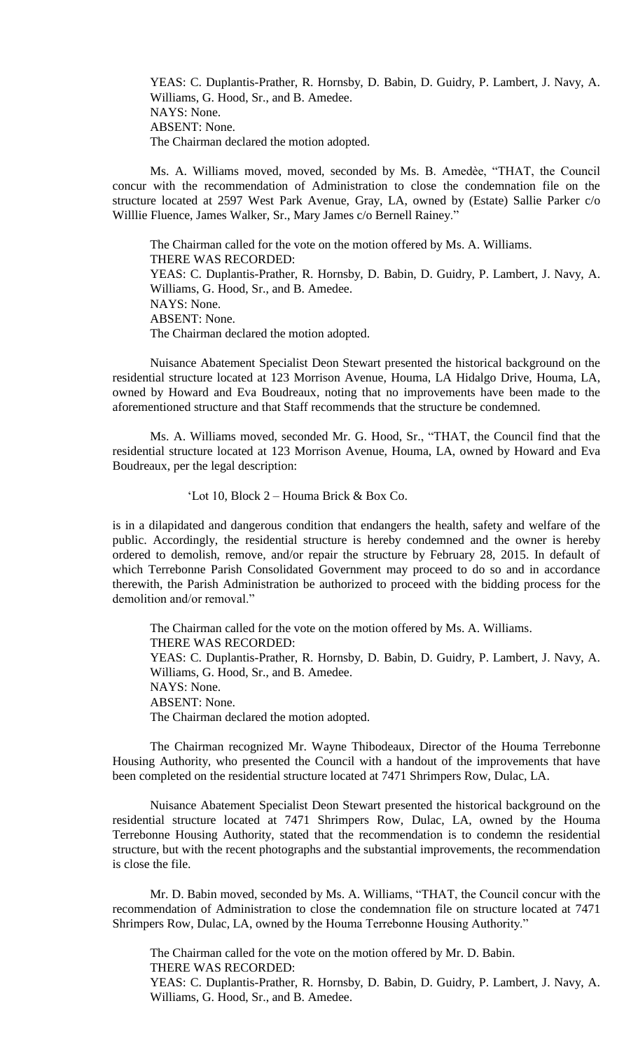YEAS: C. Duplantis-Prather, R. Hornsby, D. Babin, D. Guidry, P. Lambert, J. Navy, A. Williams, G. Hood, Sr., and B. Amedee. NAYS: None. ABSENT: None. The Chairman declared the motion adopted.

Ms. A. Williams moved, moved, seconded by Ms. B. Amedèe, "THAT, the Council concur with the recommendation of Administration to close the condemnation file on the structure located at 2597 West Park Avenue, Gray, LA, owned by (Estate) Sallie Parker c/o Willlie Fluence, James Walker, Sr., Mary James c/o Bernell Rainey."

The Chairman called for the vote on the motion offered by Ms. A. Williams. THERE WAS RECORDED: YEAS: C. Duplantis-Prather, R. Hornsby, D. Babin, D. Guidry, P. Lambert, J. Navy, A. Williams, G. Hood, Sr., and B. Amedee. NAYS: None. ABSENT: None. The Chairman declared the motion adopted.

Nuisance Abatement Specialist Deon Stewart presented the historical background on the residential structure located at 123 Morrison Avenue, Houma, LA Hidalgo Drive, Houma, LA, owned by Howard and Eva Boudreaux, noting that no improvements have been made to the aforementioned structure and that Staff recommends that the structure be condemned.

Ms. A. Williams moved, seconded Mr. G. Hood, Sr., "THAT, the Council find that the residential structure located at 123 Morrison Avenue, Houma, LA, owned by Howard and Eva Boudreaux, per the legal description:

'Lot 10, Block 2 – Houma Brick & Box Co.

is in a dilapidated and dangerous condition that endangers the health, safety and welfare of the public. Accordingly, the residential structure is hereby condemned and the owner is hereby ordered to demolish, remove, and/or repair the structure by February 28, 2015. In default of which Terrebonne Parish Consolidated Government may proceed to do so and in accordance therewith, the Parish Administration be authorized to proceed with the bidding process for the demolition and/or removal."

The Chairman called for the vote on the motion offered by Ms. A. Williams. THERE WAS RECORDED: YEAS: C. Duplantis-Prather, R. Hornsby, D. Babin, D. Guidry, P. Lambert, J. Navy, A. Williams, G. Hood, Sr., and B. Amedee. NAYS: None. ABSENT: None. The Chairman declared the motion adopted.

The Chairman recognized Mr. Wayne Thibodeaux, Director of the Houma Terrebonne Housing Authority, who presented the Council with a handout of the improvements that have been completed on the residential structure located at 7471 Shrimpers Row, Dulac, LA.

Nuisance Abatement Specialist Deon Stewart presented the historical background on the residential structure located at 7471 Shrimpers Row, Dulac, LA, owned by the Houma Terrebonne Housing Authority, stated that the recommendation is to condemn the residential structure, but with the recent photographs and the substantial improvements, the recommendation is close the file.

Mr. D. Babin moved, seconded by Ms. A. Williams, "THAT, the Council concur with the recommendation of Administration to close the condemnation file on structure located at 7471 Shrimpers Row, Dulac, LA, owned by the Houma Terrebonne Housing Authority."

The Chairman called for the vote on the motion offered by Mr. D. Babin. THERE WAS RECORDED: YEAS: C. Duplantis-Prather, R. Hornsby, D. Babin, D. Guidry, P. Lambert, J. Navy, A. Williams, G. Hood, Sr., and B. Amedee.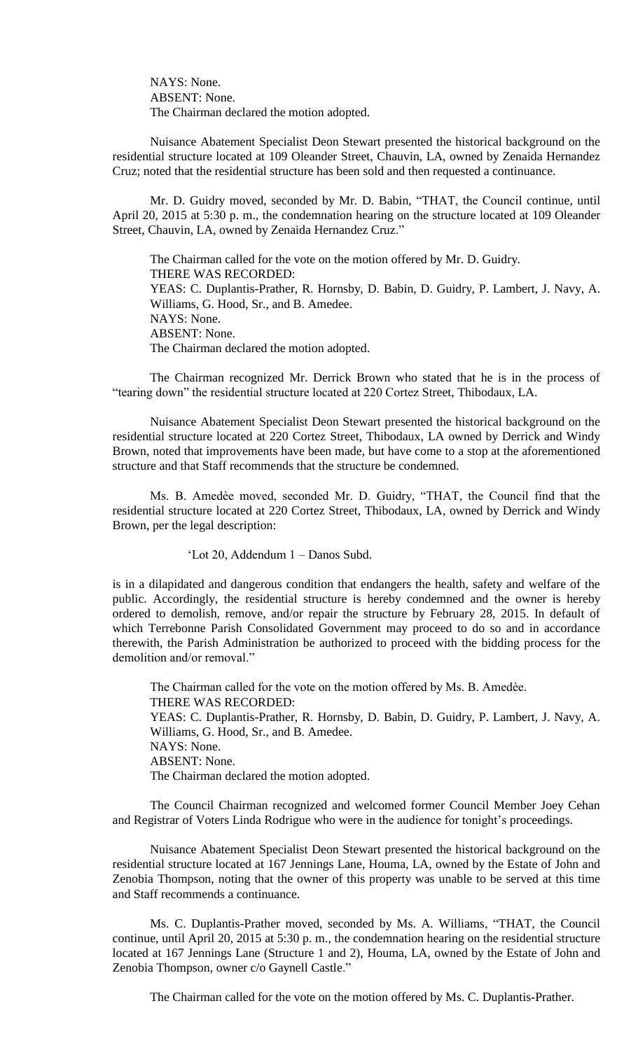NAYS: None. ABSENT: None. The Chairman declared the motion adopted.

Nuisance Abatement Specialist Deon Stewart presented the historical background on the residential structure located at 109 Oleander Street, Chauvin, LA, owned by Zenaida Hernandez Cruz; noted that the residential structure has been sold and then requested a continuance.

Mr. D. Guidry moved, seconded by Mr. D. Babin, "THAT, the Council continue, until April 20, 2015 at 5:30 p. m., the condemnation hearing on the structure located at 109 Oleander Street, Chauvin, LA, owned by Zenaida Hernandez Cruz."

The Chairman called for the vote on the motion offered by Mr. D. Guidry. THERE WAS RECORDED: YEAS: C. Duplantis-Prather, R. Hornsby, D. Babin, D. Guidry, P. Lambert, J. Navy, A. Williams, G. Hood, Sr., and B. Amedee. NAYS: None. ABSENT: None. The Chairman declared the motion adopted.

The Chairman recognized Mr. Derrick Brown who stated that he is in the process of "tearing down" the residential structure located at 220 Cortez Street, Thibodaux, LA.

Nuisance Abatement Specialist Deon Stewart presented the historical background on the residential structure located at 220 Cortez Street, Thibodaux, LA owned by Derrick and Windy Brown, noted that improvements have been made, but have come to a stop at the aforementioned structure and that Staff recommends that the structure be condemned.

Ms. B. Amedèe moved, seconded Mr. D. Guidry, "THAT, the Council find that the residential structure located at 220 Cortez Street, Thibodaux, LA, owned by Derrick and Windy Brown, per the legal description:

'Lot 20, Addendum 1 – Danos Subd.

is in a dilapidated and dangerous condition that endangers the health, safety and welfare of the public. Accordingly, the residential structure is hereby condemned and the owner is hereby ordered to demolish, remove, and/or repair the structure by February 28, 2015. In default of which Terrebonne Parish Consolidated Government may proceed to do so and in accordance therewith, the Parish Administration be authorized to proceed with the bidding process for the demolition and/or removal."

The Chairman called for the vote on the motion offered by Ms. B. Amedèe. THERE WAS RECORDED: YEAS: C. Duplantis-Prather, R. Hornsby, D. Babin, D. Guidry, P. Lambert, J. Navy, A. Williams, G. Hood, Sr., and B. Amedee. NAYS: None. ABSENT: None. The Chairman declared the motion adopted.

The Council Chairman recognized and welcomed former Council Member Joey Cehan and Registrar of Voters Linda Rodrigue who were in the audience for tonight's proceedings.

Nuisance Abatement Specialist Deon Stewart presented the historical background on the residential structure located at 167 Jennings Lane, Houma, LA, owned by the Estate of John and Zenobia Thompson, noting that the owner of this property was unable to be served at this time and Staff recommends a continuance.

Ms. C. Duplantis-Prather moved, seconded by Ms. A. Williams, "THAT, the Council continue, until April 20, 2015 at 5:30 p. m., the condemnation hearing on the residential structure located at 167 Jennings Lane (Structure 1 and 2), Houma, LA, owned by the Estate of John and Zenobia Thompson, owner c/o Gaynell Castle."

The Chairman called for the vote on the motion offered by Ms. C. Duplantis-Prather.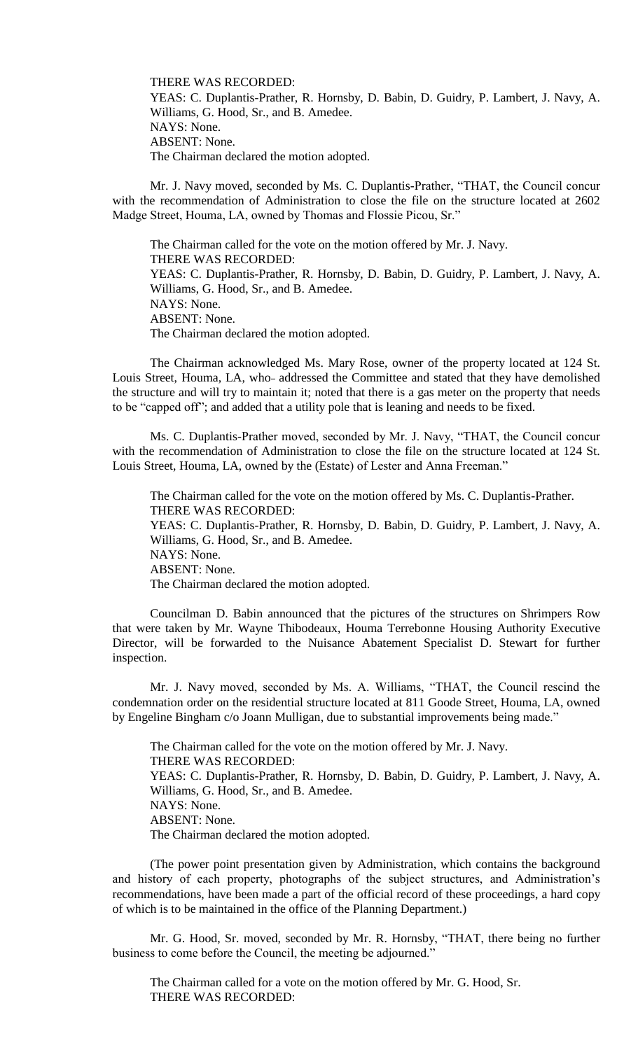THERE WAS RECORDED: YEAS: C. Duplantis-Prather, R. Hornsby, D. Babin, D. Guidry, P. Lambert, J. Navy, A. Williams, G. Hood, Sr., and B. Amedee. NAYS: None. ABSENT: None. The Chairman declared the motion adopted.

Mr. J. Navy moved, seconded by Ms. C. Duplantis-Prather, "THAT, the Council concur with the recommendation of Administration to close the file on the structure located at 2602 Madge Street, Houma, LA, owned by Thomas and Flossie Picou, Sr."

The Chairman called for the vote on the motion offered by Mr. J. Navy. THERE WAS RECORDED: YEAS: C. Duplantis-Prather, R. Hornsby, D. Babin, D. Guidry, P. Lambert, J. Navy, A. Williams, G. Hood, Sr., and B. Amedee. NAYS: None. ABSENT: None. The Chairman declared the motion adopted.

The Chairman acknowledged Ms. Mary Rose, owner of the property located at 124 St. Louis Street, Houma, LA, who- addressed the Committee and stated that they have demolished the structure and will try to maintain it; noted that there is a gas meter on the property that needs to be "capped off"; and added that a utility pole that is leaning and needs to be fixed.

Ms. C. Duplantis-Prather moved, seconded by Mr. J. Navy, "THAT, the Council concur with the recommendation of Administration to close the file on the structure located at 124 St. Louis Street, Houma, LA, owned by the (Estate) of Lester and Anna Freeman."

The Chairman called for the vote on the motion offered by Ms. C. Duplantis-Prather. THERE WAS RECORDED: YEAS: C. Duplantis-Prather, R. Hornsby, D. Babin, D. Guidry, P. Lambert, J. Navy, A. Williams, G. Hood, Sr., and B. Amedee. NAYS: None. ABSENT: None. The Chairman declared the motion adopted.

Councilman D. Babin announced that the pictures of the structures on Shrimpers Row that were taken by Mr. Wayne Thibodeaux, Houma Terrebonne Housing Authority Executive Director, will be forwarded to the Nuisance Abatement Specialist D. Stewart for further inspection.

Mr. J. Navy moved, seconded by Ms. A. Williams, "THAT, the Council rescind the condemnation order on the residential structure located at 811 Goode Street, Houma, LA, owned by Engeline Bingham c/o Joann Mulligan, due to substantial improvements being made."

The Chairman called for the vote on the motion offered by Mr. J. Navy. THERE WAS RECORDED: YEAS: C. Duplantis-Prather, R. Hornsby, D. Babin, D. Guidry, P. Lambert, J. Navy, A. Williams, G. Hood, Sr., and B. Amedee. NAYS: None. ABSENT: None. The Chairman declared the motion adopted.

(The power point presentation given by Administration, which contains the background and history of each property, photographs of the subject structures, and Administration's recommendations, have been made a part of the official record of these proceedings, a hard copy of which is to be maintained in the office of the Planning Department.)

Mr. G. Hood, Sr. moved, seconded by Mr. R. Hornsby, "THAT, there being no further business to come before the Council, the meeting be adjourned."

The Chairman called for a vote on the motion offered by Mr. G. Hood, Sr. THERE WAS RECORDED: